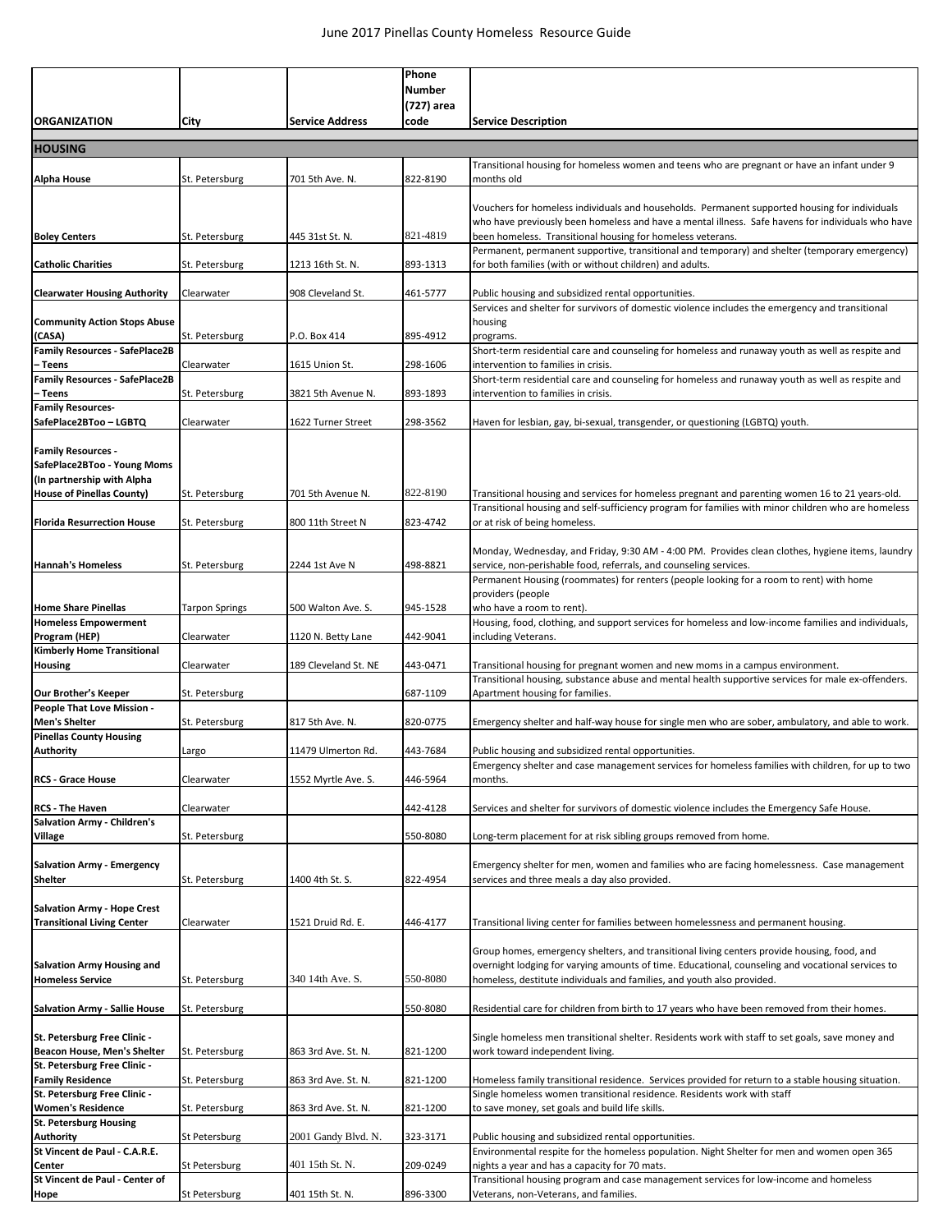|                                                           |                |                        | Phone         |                                                                                                                                                                                                        |
|-----------------------------------------------------------|----------------|------------------------|---------------|--------------------------------------------------------------------------------------------------------------------------------------------------------------------------------------------------------|
|                                                           |                |                        | <b>Number</b> |                                                                                                                                                                                                        |
|                                                           |                |                        | (727) area    |                                                                                                                                                                                                        |
| <b>ORGANIZATION</b>                                       | City           | <b>Service Address</b> | code          | <b>Service Description</b>                                                                                                                                                                             |
|                                                           |                |                        |               |                                                                                                                                                                                                        |
| <b>HOUSING</b>                                            |                |                        |               |                                                                                                                                                                                                        |
| Alpha House                                               | St. Petersburg | 701 5th Ave. N.        | 822-8190      | Transitional housing for homeless women and teens who are pregnant or have an infant under 9<br>months old                                                                                             |
|                                                           |                |                        |               |                                                                                                                                                                                                        |
|                                                           |                |                        |               | Vouchers for homeless individuals and households. Permanent supported housing for individuals                                                                                                          |
|                                                           |                |                        |               | who have previously been homeless and have a mental illness. Safe havens for individuals who have                                                                                                      |
| <b>Boley Centers</b>                                      | St. Petersburg | 445 31st St. N.        | 821-4819      | been homeless. Transitional housing for homeless veterans.                                                                                                                                             |
|                                                           |                |                        |               | Permanent, permanent supportive, transitional and temporary) and shelter (temporary emergency)                                                                                                         |
| <b>Catholic Charities</b>                                 | St. Petersburg | 1213 16th St. N.       | 893-1313      | for both families (with or without children) and adults.                                                                                                                                               |
|                                                           |                |                        |               | Public housing and subsidized rental opportunities.                                                                                                                                                    |
| <b>Clearwater Housing Authority</b>                       | Clearwater     | 908 Cleveland St.      | 461-5777      | Services and shelter for survivors of domestic violence includes the emergency and transitional                                                                                                        |
| <b>Community Action Stops Abuse</b>                       |                |                        |               | housing                                                                                                                                                                                                |
| (CASA)                                                    | St. Petersburg | P.O. Box 414           | 895-4912      | programs.                                                                                                                                                                                              |
| <b>Family Resources - SafePlace2B</b>                     |                |                        |               | Short-term residential care and counseling for homeless and runaway youth as well as respite and                                                                                                       |
| – Teens                                                   | Clearwater     | 1615 Union St.         | 298-1606      | intervention to families in crisis.                                                                                                                                                                    |
| <b>Family Resources - SafePlace2B</b>                     |                |                        |               | Short-term residential care and counseling for homeless and runaway youth as well as respite and                                                                                                       |
| – Teens<br><b>Family Resources-</b>                       | St. Petersburg | 3821 5th Avenue N.     | 893-1893      | intervention to families in crisis.                                                                                                                                                                    |
| SafePlace2BToo - LGBTQ                                    | Clearwater     | 1622 Turner Street     | 298-3562      | Haven for lesbian, gay, bi-sexual, transgender, or questioning (LGBTQ) youth.                                                                                                                          |
|                                                           |                |                        |               |                                                                                                                                                                                                        |
| <b>Family Resources -</b>                                 |                |                        |               |                                                                                                                                                                                                        |
| SafePlace2BToo - Young Moms                               |                |                        |               |                                                                                                                                                                                                        |
| (In partnership with Alpha                                |                |                        |               |                                                                                                                                                                                                        |
| House of Pinellas County)                                 | St. Petersburg | 701 5th Avenue N.      | 822-8190      | Transitional housing and services for homeless pregnant and parenting women 16 to 21 years-old.<br>Transitional housing and self-sufficiency program for families with minor children who are homeless |
| <b>Florida Resurrection House</b>                         | St. Petersburg | 800 11th Street N      | 823-4742      | or at risk of being homeless.                                                                                                                                                                          |
|                                                           |                |                        |               |                                                                                                                                                                                                        |
|                                                           |                |                        |               | Monday, Wednesday, and Friday, 9:30 AM - 4:00 PM. Provides clean clothes, hygiene items, laundry                                                                                                       |
| <b>Hannah's Homeless</b>                                  | St. Petersburg | 2244 1st Ave N         | 498-8821      | service, non-perishable food, referrals, and counseling services.                                                                                                                                      |
|                                                           |                |                        |               | Permanent Housing (roommates) for renters (people looking for a room to rent) with home                                                                                                                |
|                                                           |                |                        | 945-1528      | providers (people                                                                                                                                                                                      |
| <b>Home Share Pinellas</b><br><b>Homeless Empowerment</b> | Tarpon Springs | 500 Walton Ave. S.     |               | who have a room to rent).<br>Housing, food, clothing, and support services for homeless and low-income families and individuals,                                                                       |
| Program (HEP)                                             | Clearwater     | 1120 N. Betty Lane     | 442-9041      | including Veterans.                                                                                                                                                                                    |
| <b>Kimberly Home Transitional</b>                         |                |                        |               |                                                                                                                                                                                                        |
| <b>Housing</b>                                            | Clearwater     | 189 Cleveland St. NE   | 443-0471      | Transitional housing for pregnant women and new moms in a campus environment.                                                                                                                          |
|                                                           |                |                        |               | Transitional housing, substance abuse and mental health supportive services for male ex-offenders.                                                                                                     |
| Our Brother's Keeper<br>People That Love Mission -        | St. Petersburg |                        | 687-1109      | Apartment housing for families.                                                                                                                                                                        |
| <b>Men's Shelter</b>                                      | St. Petersburg | 817 5th Ave. N.        | 820-0775      | Emergency shelter and half-way house for single men who are sober, ambulatory, and able to work.                                                                                                       |
| <b>Pinellas County Housing</b>                            |                |                        |               |                                                                                                                                                                                                        |
| <b>Authority</b>                                          | Largo          | 11479 Ulmerton Rd.     | 443-7684      | Public housing and subsidized rental opportunities.                                                                                                                                                    |
|                                                           |                |                        |               | Emergency shelter and case management services for homeless families with children, for up to two                                                                                                      |
| <b>RCS - Grace House</b>                                  | Clearwater     | 1552 Myrtle Ave. S.    | 446-5964      | months.                                                                                                                                                                                                |
| <b>RCS - The Haven</b>                                    | Clearwater     |                        | 442-4128      | Services and shelter for survivors of domestic violence includes the Emergency Safe House.                                                                                                             |
| Salvation Army - Children's                               |                |                        |               |                                                                                                                                                                                                        |
| Village                                                   | St. Petersburg |                        | 550-8080      | Long-term placement for at risk sibling groups removed from home.                                                                                                                                      |
|                                                           |                |                        |               |                                                                                                                                                                                                        |
| <b>Salvation Army - Emergency</b>                         |                |                        |               | Emergency shelter for men, women and families who are facing homelessness. Case management                                                                                                             |
| Shelter                                                   | St. Petersburg | 1400 4th St. S.        | 822-4954      | services and three meals a day also provided.                                                                                                                                                          |
| <b>Salvation Army - Hope Crest</b>                        |                |                        |               |                                                                                                                                                                                                        |
| <b>Transitional Living Center</b>                         | Clearwater     | 1521 Druid Rd. E.      | 446-4177      | Transitional living center for families between homelessness and permanent housing.                                                                                                                    |
|                                                           |                |                        |               |                                                                                                                                                                                                        |
|                                                           |                |                        |               | Group homes, emergency shelters, and transitional living centers provide housing, food, and                                                                                                            |
| <b>Salvation Army Housing and</b>                         |                | 340 14th Ave. S.       | 550-8080      | overnight lodging for varying amounts of time. Educational, counseling and vocational services to                                                                                                      |
| <b>Homeless Service</b>                                   | St. Petersburg |                        |               | homeless, destitute individuals and families, and youth also provided.                                                                                                                                 |
| <b>Salvation Army - Sallie House</b>                      | St. Petersburg |                        | 550-8080      | Residential care for children from birth to 17 years who have been removed from their homes.                                                                                                           |
|                                                           |                |                        |               |                                                                                                                                                                                                        |
| St. Petersburg Free Clinic -                              |                |                        |               | Single homeless men transitional shelter. Residents work with staff to set goals, save money and                                                                                                       |
| Beacon House, Men's Shelter                               | St. Petersburg | 863 3rd Ave. St. N.    | 821-1200      | work toward independent living.                                                                                                                                                                        |
| St. Petersburg Free Clinic -                              |                |                        |               |                                                                                                                                                                                                        |
| <b>Family Residence</b><br>St. Petersburg Free Clinic -   | St. Petersburg | 863 3rd Ave. St. N.    | 821-1200      | Homeless family transitional residence. Services provided for return to a stable housing situation.<br>Single homeless women transitional residence. Residents work with staff                         |
| <b>Women's Residence</b>                                  | St. Petersburg | 863 3rd Ave. St. N.    | 821-1200      | to save money, set goals and build life skills.                                                                                                                                                        |
| <b>St. Petersburg Housing</b>                             |                |                        |               |                                                                                                                                                                                                        |
| <b>Authority</b>                                          | St Petersburg  | 2001 Gandy Blvd. N.    | 323-3171      | Public housing and subsidized rental opportunities.                                                                                                                                                    |
| St Vincent de Paul - C.A.R.E.                             |                |                        |               | Environmental respite for the homeless population. Night Shelter for men and women open 365                                                                                                            |
| Center<br>St Vincent de Paul - Center of                  | St Petersburg  | 401 15th St. N.        | 209-0249      | nights a year and has a capacity for 70 mats.<br>Transitional housing program and case management services for low-income and homeless                                                                 |
| Hope                                                      | St Petersburg  | 401 15th St. N.        | 896-3300      | Veterans, non-Veterans, and families.                                                                                                                                                                  |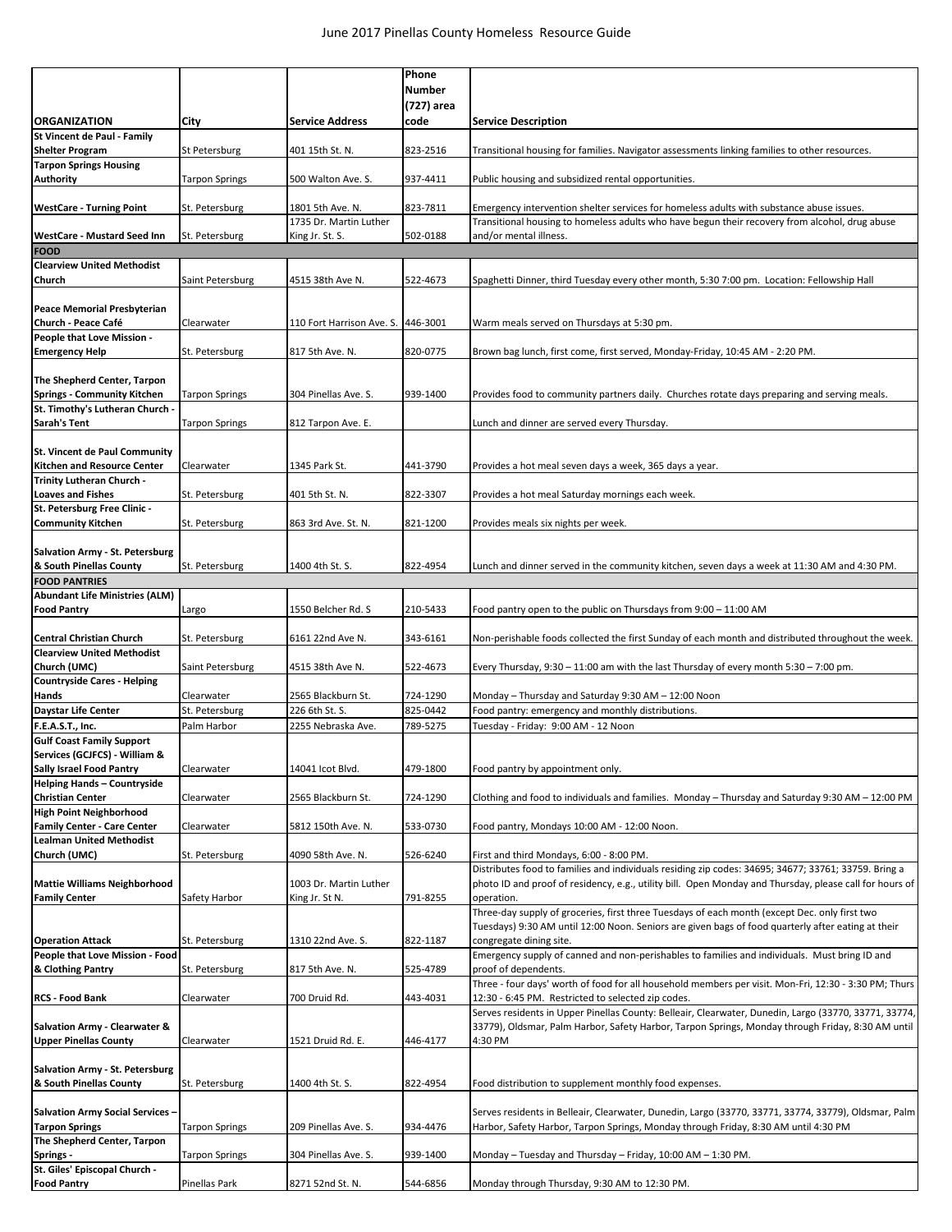|                                                                     |                               |                                            | Phone<br><b>Number</b> |                                                                                                                                                                                            |
|---------------------------------------------------------------------|-------------------------------|--------------------------------------------|------------------------|--------------------------------------------------------------------------------------------------------------------------------------------------------------------------------------------|
| <b>ORGANIZATION</b>                                                 | City                          | <b>Service Address</b>                     | (727) area<br>code     | <b>Service Description</b>                                                                                                                                                                 |
| St Vincent de Paul - Family                                         |                               |                                            |                        |                                                                                                                                                                                            |
| <b>Shelter Program</b><br><b>Tarpon Springs Housing</b>             | St Petersburg                 | 401 15th St. N.                            | 823-2516               | Transitional housing for families. Navigator assessments linking families to other resources.                                                                                              |
| <b>Authority</b>                                                    | <b>Tarpon Springs</b>         | 500 Walton Ave. S.                         | 937-4411               | Public housing and subsidized rental opportunities.                                                                                                                                        |
| <b>WestCare - Turning Point</b>                                     | St. Petersburg                | 1801 5th Ave. N.<br>1735 Dr. Martin Luther | 823-7811               | Emergency intervention shelter services for homeless adults with substance abuse issues.<br>Transitional housing to homeless adults who have begun their recovery from alcohol, drug abuse |
| WestCare - Mustard Seed Inn                                         | St. Petersburg                | King Jr. St. S.                            | 502-0188               | and/or mental illness.                                                                                                                                                                     |
| <b>FOOD</b><br><b>Clearview United Methodist</b>                    |                               |                                            |                        |                                                                                                                                                                                            |
| Church                                                              | Saint Petersburg              | 4515 38th Ave N.                           | 522-4673               | Spaghetti Dinner, third Tuesday every other month, 5:30 7:00 pm. Location: Fellowship Hall                                                                                                 |
| <b>Peace Memorial Presbyterian</b><br>Church - Peace Café           | Clearwater                    | 110 Fort Harrison Ave. S.                  | 446-3001               | Warm meals served on Thursdays at 5:30 pm.                                                                                                                                                 |
| People that Love Mission -<br><b>Emergency Help</b>                 | St. Petersburg                | 817 5th Ave. N.                            | 820-0775               | Brown bag lunch, first come, first served, Monday-Friday, 10:45 AM - 2:20 PM.                                                                                                              |
|                                                                     |                               |                                            |                        |                                                                                                                                                                                            |
| The Shepherd Center, Tarpon<br><b>Springs - Community Kitchen</b>   | <b>Tarpon Springs</b>         | 304 Pinellas Ave. S.                       | 939-1400               | Provides food to community partners daily. Churches rotate days preparing and serving meals.                                                                                               |
| St. Timothy's Lutheran Church .<br><b>Sarah's Tent</b>              | <b>Tarpon Springs</b>         | 812 Tarpon Ave. E.                         |                        | Lunch and dinner are served every Thursday.                                                                                                                                                |
|                                                                     |                               |                                            |                        |                                                                                                                                                                                            |
| <b>St. Vincent de Paul Community</b><br>Kitchen and Resource Center | Clearwater                    | 1345 Park St.                              | 441-3790               | Provides a hot meal seven days a week, 365 days a year.                                                                                                                                    |
| Trinity Lutheran Church -<br><b>Loaves and Fishes</b>               | St. Petersburg                | 401 5th St. N.                             | 822-3307               | Provides a hot meal Saturday mornings each week.                                                                                                                                           |
| St. Petersburg Free Clinic -                                        |                               |                                            |                        |                                                                                                                                                                                            |
| <b>Community Kitchen</b>                                            | St. Petersburg                | 863 3rd Ave. St. N.                        | 821-1200               | Provides meals six nights per week.                                                                                                                                                        |
| Salvation Army - St. Petersburg                                     |                               |                                            |                        |                                                                                                                                                                                            |
| & South Pinellas County                                             | St. Petersburg                | 1400 4th St. S.                            | 822-4954               | Lunch and dinner served in the community kitchen, seven days a week at 11:30 AM and 4:30 PM.                                                                                               |
| <b>FOOD PANTRIES</b><br><b>Abundant Life Ministries (ALM)</b>       |                               |                                            |                        |                                                                                                                                                                                            |
| <b>Food Pantry</b>                                                  | Largo                         | 1550 Belcher Rd. S                         | 210-5433               | Food pantry open to the public on Thursdays from 9:00 - 11:00 AM                                                                                                                           |
| <b>Central Christian Church</b>                                     | St. Petersburg                | 6161 22nd Ave N.                           | 343-6161               | Non-perishable foods collected the first Sunday of each month and distributed throughout the week.                                                                                         |
| <b>Clearview United Methodist</b><br>Church (UMC)                   | Saint Petersburg              | 4515 38th Ave N.                           | 522-4673               | Every Thursday, 9:30 – 11:00 am with the last Thursday of every month 5:30 – 7:00 pm.                                                                                                      |
| <b>Countryside Cares - Helping</b>                                  |                               |                                            |                        |                                                                                                                                                                                            |
| Hands                                                               | Clearwater                    | 2565 Blackburn St.                         | 724-1290               | Monday - Thursday and Saturday 9:30 AM - 12:00 Noon                                                                                                                                        |
| <b>Daystar Life Center</b><br><b>F.E.A.S.T., Inc.</b>               | St. Petersburg<br>Palm Harbor | 226 6th St. S.<br>2255 Nebraska Ave.       | 825-0442<br>789-5275   | Food pantry: emergency and monthly distributions.<br>Tuesday - Friday: 9:00 AM - 12 Noon                                                                                                   |
| <b>Gulf Coast Family Support</b>                                    |                               |                                            |                        |                                                                                                                                                                                            |
| Services (GCJFCS) - William &<br><b>Sally Israel Food Pantry</b>    | Clearwater                    | 14041 Icot Blvd.                           | 479-1800               | Food pantry by appointment only.                                                                                                                                                           |
| <b>Helping Hands - Countryside</b>                                  |                               | 2565 Blackburn St.                         |                        |                                                                                                                                                                                            |
| <b>Christian Center</b><br><b>High Point Neighborhood</b>           | Clearwater                    |                                            | 724-1290               | Clothing and food to individuals and families. Monday - Thursday and Saturday 9:30 AM - 12:00 PM                                                                                           |
| <b>Family Center - Care Center</b>                                  | Clearwater                    | 5812 150th Ave. N.                         | 533-0730               | Food pantry, Mondays 10:00 AM - 12:00 Noon.                                                                                                                                                |
| <b>Lealman United Methodist</b><br>Church (UMC)                     |                               |                                            | 526-6240               |                                                                                                                                                                                            |
|                                                                     | St. Petersburg                | 4090 58th Ave. N.                          |                        | First and third Mondays, 6:00 - 8:00 PM.<br>Distributes food to families and individuals residing zip codes: 34695; 34677; 33761; 33759. Bring a                                           |
| <b>Mattie Williams Neighborhood</b>                                 |                               | 1003 Dr. Martin Luther                     |                        | photo ID and proof of residency, e.g., utility bill. Open Monday and Thursday, please call for hours of                                                                                    |
| <b>Family Center</b>                                                | Safety Harbor                 | King Jr. St N.                             | 791-8255               | operation.<br>Three-day supply of groceries, first three Tuesdays of each month (except Dec. only first two                                                                                |
|                                                                     |                               |                                            |                        | Tuesdays) 9:30 AM until 12:00 Noon. Seniors are given bags of food quarterly after eating at their                                                                                         |
| <b>Operation Attack</b>                                             | St. Petersburg                | 1310 22nd Ave. S.                          | 822-1187               | congregate dining site.                                                                                                                                                                    |
| People that Love Mission - Food<br>& Clothing Pantry                | St. Petersburg                | 817 5th Ave. N.                            | 525-4789               | Emergency supply of canned and non-perishables to families and individuals. Must bring ID and<br>proof of dependents.                                                                      |
| <b>RCS - Food Bank</b>                                              | Clearwater                    | 700 Druid Rd.                              | 443-4031               | Three - four days' worth of food for all household members per visit. Mon-Fri, 12:30 - 3:30 PM; Thurs<br>12:30 - 6:45 PM. Restricted to selected zip codes.                                |
|                                                                     |                               |                                            |                        | Serves residents in Upper Pinellas County: Belleair, Clearwater, Dunedin, Largo (33770, 33771, 33774,                                                                                      |
| Salvation Army - Clearwater &                                       |                               |                                            |                        | 33779), Oldsmar, Palm Harbor, Safety Harbor, Tarpon Springs, Monday through Friday, 8:30 AM until                                                                                          |
| <b>Upper Pinellas County</b>                                        | Clearwater                    | 1521 Druid Rd. E.                          | 446-4177               | 4:30 PM                                                                                                                                                                                    |
| Salvation Army - St. Petersburg                                     |                               |                                            |                        |                                                                                                                                                                                            |
| & South Pinellas County                                             | St. Petersburg                | 1400 4th St. S.                            | 822-4954               | Food distribution to supplement monthly food expenses.                                                                                                                                     |
| <b>Salvation Army Social Services -</b>                             |                               |                                            |                        | Serves residents in Belleair, Clearwater, Dunedin, Largo (33770, 33771, 33774, 33779), Oldsmar, Palm                                                                                       |
| <b>Tarpon Springs</b>                                               | <b>Tarpon Springs</b>         | 209 Pinellas Ave. S.                       | 934-4476               | Harbor, Safety Harbor, Tarpon Springs, Monday through Friday, 8:30 AM until 4:30 PM                                                                                                        |
| The Shepherd Center, Tarpon                                         |                               |                                            |                        |                                                                                                                                                                                            |
| Springs -<br>St. Giles' Episcopal Church -                          | <b>Tarpon Springs</b>         | 304 Pinellas Ave. S.                       | 939-1400               | Monday - Tuesday and Thursday - Friday, 10:00 AM - 1:30 PM.                                                                                                                                |
| <b>Food Pantry</b>                                                  | Pinellas Park                 | 8271 52nd St. N.                           | 544-6856               | Monday through Thursday, 9:30 AM to 12:30 PM.                                                                                                                                              |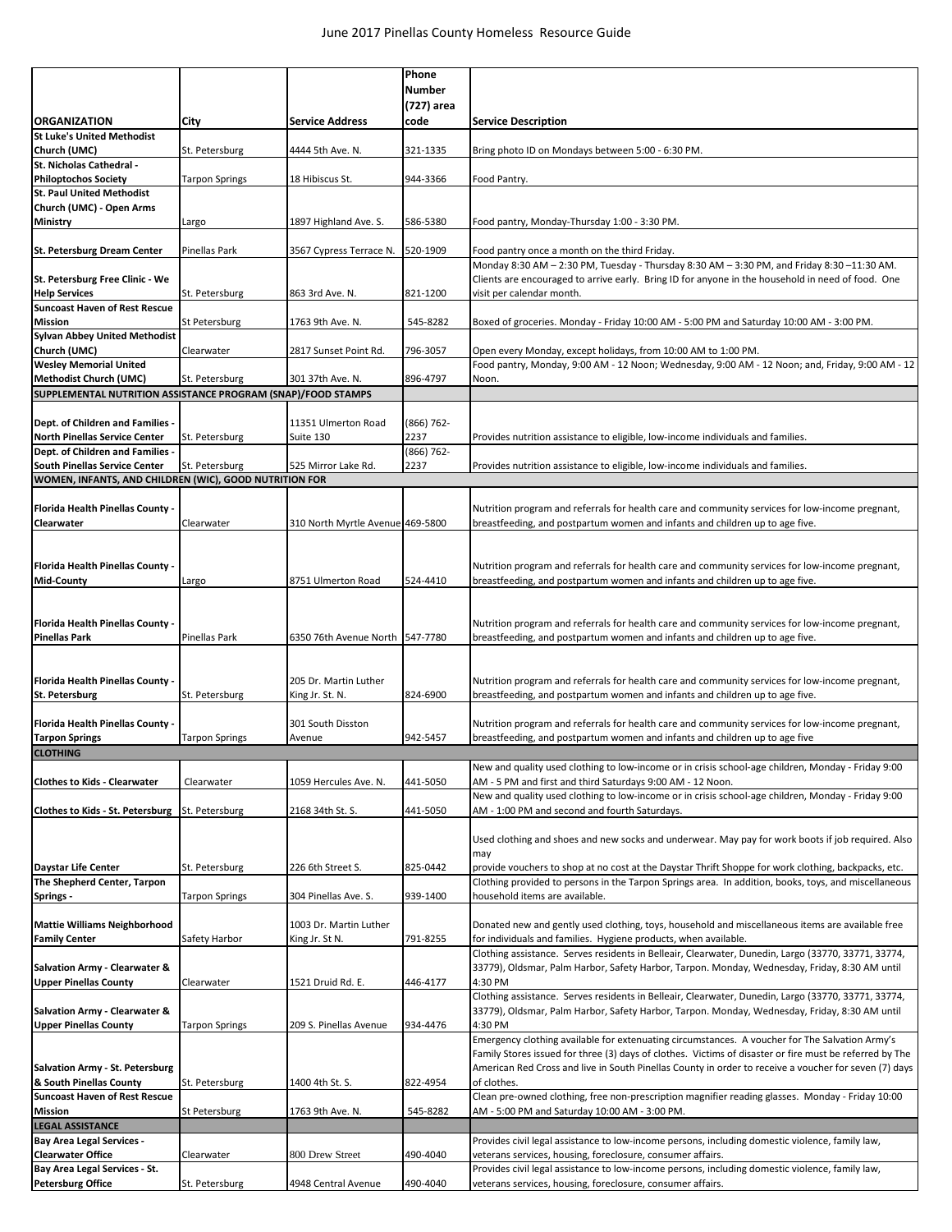|                                                                                               |                       |                                  | Phone         |                                                                                                                                                                                                                  |
|-----------------------------------------------------------------------------------------------|-----------------------|----------------------------------|---------------|------------------------------------------------------------------------------------------------------------------------------------------------------------------------------------------------------------------|
|                                                                                               |                       |                                  | <b>Number</b> |                                                                                                                                                                                                                  |
| <b>ORGANIZATION</b>                                                                           |                       | <b>Service Address</b>           | (727) area    |                                                                                                                                                                                                                  |
| <b>St Luke's United Methodist</b>                                                             | City                  |                                  | code          | <b>Service Description</b>                                                                                                                                                                                       |
| Church (UMC)                                                                                  | St. Petersburg        | 4444 5th Ave. N.                 | 321-1335      | Bring photo ID on Mondays between 5:00 - 6:30 PM.                                                                                                                                                                |
| St. Nicholas Cathedral -                                                                      |                       |                                  |               |                                                                                                                                                                                                                  |
| <b>Philoptochos Society</b>                                                                   | <b>Tarpon Springs</b> | 18 Hibiscus St.                  | 944-3366      | Food Pantry.                                                                                                                                                                                                     |
| <b>St. Paul United Methodist</b><br>Church (UMC) - Open Arms                                  |                       |                                  |               |                                                                                                                                                                                                                  |
| <b>Ministry</b>                                                                               | Largo                 | 1897 Highland Ave. S.            | 586-5380      | Food pantry, Monday-Thursday 1:00 - 3:30 PM.                                                                                                                                                                     |
|                                                                                               |                       |                                  |               |                                                                                                                                                                                                                  |
| St. Petersburg Dream Center                                                                   | Pinellas Park         | 3567 Cypress Terrace N.          | 520-1909      | Food pantry once a month on the third Friday.                                                                                                                                                                    |
|                                                                                               |                       |                                  |               | Monday 8:30 AM - 2:30 PM, Tuesday - Thursday 8:30 AM - 3:30 PM, and Friday 8:30 -11:30 AM.                                                                                                                       |
| St. Petersburg Free Clinic - We                                                               |                       |                                  |               | Clients are encouraged to arrive early. Bring ID for anyone in the household in need of food. One                                                                                                                |
| <b>Help Services</b><br><b>Suncoast Haven of Rest Rescue</b>                                  | St. Petersburg        | 863 3rd Ave. N.                  | 821-1200      | visit per calendar month.                                                                                                                                                                                        |
| <b>Mission</b>                                                                                | St Petersburg         | 1763 9th Ave. N.                 | 545-8282      | Boxed of groceries. Monday - Friday 10:00 AM - 5:00 PM and Saturday 10:00 AM - 3:00 PM.                                                                                                                          |
| <b>Sylvan Abbey United Methodist</b>                                                          |                       |                                  |               |                                                                                                                                                                                                                  |
| Church (UMC)                                                                                  | Clearwater            | 2817 Sunset Point Rd.            | 796-3057      | Open every Monday, except holidays, from 10:00 AM to 1:00 PM.                                                                                                                                                    |
| <b>Wesley Memorial United</b>                                                                 |                       |                                  |               | Food pantry, Monday, 9:00 AM - 12 Noon; Wednesday, 9:00 AM - 12 Noon; and, Friday, 9:00 AM - 12                                                                                                                  |
| <b>Methodist Church (UMC)</b><br>SUPPLEMENTAL NUTRITION ASSISTANCE PROGRAM (SNAP)/FOOD STAMPS | St. Petersburg        | 301 37th Ave. N.                 | 896-4797      | Noon.                                                                                                                                                                                                            |
|                                                                                               |                       |                                  |               |                                                                                                                                                                                                                  |
| Dept. of Children and Families -                                                              |                       | 11351 Ulmerton Road              | $(866) 762 -$ |                                                                                                                                                                                                                  |
| <b>North Pinellas Service Center</b>                                                          | St. Petersburg        | Suite 130                        | 2237          | Provides nutrition assistance to eligible, low-income individuals and families.                                                                                                                                  |
| Dept. of Children and Families                                                                |                       |                                  | $(866) 762 -$ |                                                                                                                                                                                                                  |
| <b>South Pinellas Service Center</b>                                                          | St. Petersburg        | 525 Mirror Lake Rd.              | 2237          | Provides nutrition assistance to eligible, low-income individuals and families.                                                                                                                                  |
| WOMEN, INFANTS, AND CHILDREN (WIC), GOOD NUTRITION FOR                                        |                       |                                  |               |                                                                                                                                                                                                                  |
| Florida Health Pinellas County -                                                              |                       |                                  |               | Nutrition program and referrals for health care and community services for low-income pregnant,                                                                                                                  |
| Clearwater                                                                                    | Clearwater            | 310 North Myrtle Avenue 469-5800 |               | breastfeeding, and postpartum women and infants and children up to age five.                                                                                                                                     |
|                                                                                               |                       |                                  |               |                                                                                                                                                                                                                  |
|                                                                                               |                       |                                  |               |                                                                                                                                                                                                                  |
| Florida Health Pinellas County -                                                              |                       |                                  |               | Nutrition program and referrals for health care and community services for low-income pregnant,                                                                                                                  |
| <b>Mid-County</b>                                                                             | Largo                 | 8751 Ulmerton Road               | 524-4410      | breastfeeding, and postpartum women and infants and children up to age five.                                                                                                                                     |
|                                                                                               |                       |                                  |               |                                                                                                                                                                                                                  |
| Florida Health Pinellas County -                                                              |                       |                                  |               | Nutrition program and referrals for health care and community services for low-income pregnant,                                                                                                                  |
| <b>Pinellas Park</b>                                                                          | Pinellas Park         | 6350 76th Avenue North 547-7780  |               | breastfeeding, and postpartum women and infants and children up to age five.                                                                                                                                     |
|                                                                                               |                       |                                  |               |                                                                                                                                                                                                                  |
|                                                                                               |                       | 205 Dr. Martin Luther            |               |                                                                                                                                                                                                                  |
| Florida Health Pinellas County -<br>St. Petersburg                                            | St. Petersburg        | King Jr. St. N.                  | 824-6900      | Nutrition program and referrals for health care and community services for low-income pregnant,<br>breastfeeding, and postpartum women and infants and children up to age five.                                  |
|                                                                                               |                       |                                  |               |                                                                                                                                                                                                                  |
| Florida Health Pinellas County -                                                              |                       | 301 South Disston                |               | Nutrition program and referrals for health care and community services for low-income pregnant,                                                                                                                  |
| <b>Tarpon Springs</b>                                                                         | <b>Tarpon Springs</b> | Avenue                           | 942-5457      | breastfeeding, and postpartum women and infants and children up to age five                                                                                                                                      |
| <b>CLOTHING</b>                                                                               |                       |                                  |               |                                                                                                                                                                                                                  |
|                                                                                               |                       |                                  |               | New and quality used clothing to low-income or in crisis school-age children, Monday - Friday 9:00                                                                                                               |
| <b>Clothes to Kids - Clearwater</b>                                                           | Clearwater            | 1059 Hercules Ave. N.            | 441-5050      | AM - 5 PM and first and third Saturdays 9:00 AM - 12 Noon.<br>New and quality used clothing to low-income or in crisis school-age children, Monday - Friday 9:00                                                 |
| Clothes to Kids - St. Petersburg                                                              | St. Petersburg        | 2168 34th St. S.                 | 441-5050      | AM - 1:00 PM and second and fourth Saturdays.                                                                                                                                                                    |
|                                                                                               |                       |                                  |               |                                                                                                                                                                                                                  |
|                                                                                               |                       |                                  |               | Used clothing and shoes and new socks and underwear. May pay for work boots if job required. Also                                                                                                                |
|                                                                                               |                       |                                  |               | may                                                                                                                                                                                                              |
| <b>Daystar Life Center</b><br>The Shepherd Center, Tarpon                                     | St. Petersburg        | 226 6th Street S.                | 825-0442      | provide vouchers to shop at no cost at the Daystar Thrift Shoppe for work clothing, backpacks, etc.<br>Clothing provided to persons in the Tarpon Springs area. In addition, books, toys, and miscellaneous      |
| <b>Springs -</b>                                                                              | <b>Tarpon Springs</b> | 304 Pinellas Ave. S.             | 939-1400      | household items are available.                                                                                                                                                                                   |
|                                                                                               |                       |                                  |               |                                                                                                                                                                                                                  |
| <b>Mattie Williams Neighborhood</b>                                                           |                       | 1003 Dr. Martin Luther           |               | Donated new and gently used clothing, toys, household and miscellaneous items are available free                                                                                                                 |
| <b>Family Center</b>                                                                          | Safety Harbor         | King Jr. St N.                   | 791-8255      | for individuals and families. Hygiene products, when available.                                                                                                                                                  |
|                                                                                               |                       |                                  |               | Clothing assistance. Serves residents in Belleair, Clearwater, Dunedin, Largo (33770, 33771, 33774,                                                                                                              |
| Salvation Army - Clearwater &<br><b>Upper Pinellas County</b>                                 | Clearwater            | 1521 Druid Rd. E.                | 446-4177      | 33779), Oldsmar, Palm Harbor, Safety Harbor, Tarpon. Monday, Wednesday, Friday, 8:30 AM until<br>4:30 PM                                                                                                         |
|                                                                                               |                       |                                  |               | Clothing assistance. Serves residents in Belleair, Clearwater, Dunedin, Largo (33770, 33771, 33774,                                                                                                              |
| Salvation Army - Clearwater &                                                                 |                       |                                  |               | 33779), Oldsmar, Palm Harbor, Safety Harbor, Tarpon. Monday, Wednesday, Friday, 8:30 AM until                                                                                                                    |
| <b>Upper Pinellas County</b>                                                                  | <b>Tarpon Springs</b> | 209 S. Pinellas Avenue           | 934-4476      | 4:30 PM                                                                                                                                                                                                          |
|                                                                                               |                       |                                  |               | Emergency clothing available for extenuating circumstances. A voucher for The Salvation Army's                                                                                                                   |
|                                                                                               |                       |                                  |               | Family Stores issued for three (3) days of clothes. Victims of disaster or fire must be referred by The<br>American Red Cross and live in South Pinellas County in order to receive a voucher for seven (7) days |
| Salvation Army - St. Petersburg<br>& South Pinellas County                                    | St. Petersburg        | 1400 4th St. S.                  | 822-4954      | of clothes.                                                                                                                                                                                                      |
| <b>Suncoast Haven of Rest Rescue</b>                                                          |                       |                                  |               | Clean pre-owned clothing, free non-prescription magnifier reading glasses. Monday - Friday 10:00                                                                                                                 |
| <b>Mission</b>                                                                                | St Petersburg         | 1763 9th Ave. N.                 | 545-8282      | AM - 5:00 PM and Saturday 10:00 AM - 3:00 PM.                                                                                                                                                                    |
| <b>LEGAL ASSISTANCE</b>                                                                       |                       |                                  |               |                                                                                                                                                                                                                  |
| <b>Bay Area Legal Services -</b>                                                              |                       |                                  |               | Provides civil legal assistance to low-income persons, including domestic violence, family law,                                                                                                                  |
| <b>Clearwater Office</b><br>Bay Area Legal Services - St.                                     | Clearwater            | 800 Drew Street                  | 490-4040      | veterans services, housing, foreclosure, consumer affairs.<br>Provides civil legal assistance to low-income persons, including domestic violence, family law,                                                    |
| <b>Petersburg Office</b>                                                                      | St. Petersburg        | 4948 Central Avenue              | 490-4040      | veterans services, housing, foreclosure, consumer affairs.                                                                                                                                                       |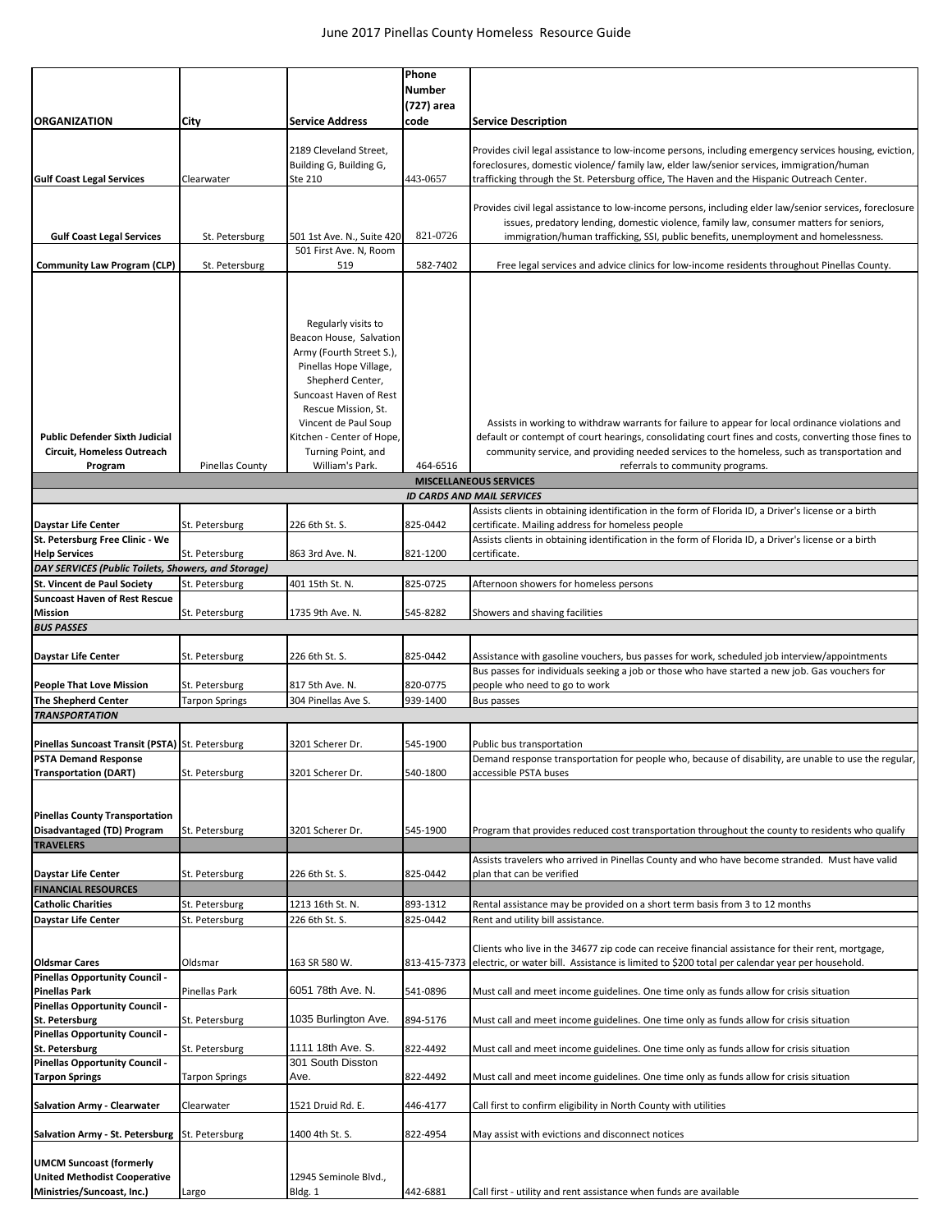|                                                                                                     |                           |                                                                                                                                                    | Phone<br><b>Number</b> |                                                                                                                                                                                                                                                                                                           |
|-----------------------------------------------------------------------------------------------------|---------------------------|----------------------------------------------------------------------------------------------------------------------------------------------------|------------------------|-----------------------------------------------------------------------------------------------------------------------------------------------------------------------------------------------------------------------------------------------------------------------------------------------------------|
|                                                                                                     |                           |                                                                                                                                                    | (727) area             |                                                                                                                                                                                                                                                                                                           |
| <b>ORGANIZATION</b>                                                                                 | City                      | <b>Service Address</b>                                                                                                                             | code                   | <b>Service Description</b>                                                                                                                                                                                                                                                                                |
| <b>Gulf Coast Legal Services</b>                                                                    | Clearwater                | 2189 Cleveland Street.<br>Building G, Building G,<br>Ste 210                                                                                       | 443-0657               | Provides civil legal assistance to low-income persons, including emergency services housing, eviction,<br>foreclosures, domestic violence/ family law, elder law/senior services, immigration/human<br>trafficking through the St. Petersburg office, The Haven and the Hispanic Outreach Center.         |
| <b>Gulf Coast Legal Services</b>                                                                    |                           | 501 1st Ave. N., Suite 420                                                                                                                         | 821-0726               | Provides civil legal assistance to low-income persons, including elder law/senior services, foreclosure<br>issues, predatory lending, domestic violence, family law, consumer matters for seniors,<br>immigration/human trafficking, SSI, public benefits, unemployment and homelessness.                 |
|                                                                                                     | St. Petersburg            | 501 First Ave. N, Room                                                                                                                             |                        |                                                                                                                                                                                                                                                                                                           |
| <b>Community Law Program (CLP)</b>                                                                  | St. Petersburg            | 519                                                                                                                                                | 582-7402               | Free legal services and advice clinics for low-income residents throughout Pinellas County.                                                                                                                                                                                                               |
|                                                                                                     |                           | Regularly visits to<br>Beacon House, Salvation<br>Army (Fourth Street S.),<br>Pinellas Hope Village,<br>Shepherd Center,<br>Suncoast Haven of Rest |                        |                                                                                                                                                                                                                                                                                                           |
| <b>Public Defender Sixth Judicial</b><br>Circuit, Homeless Outreach                                 |                           | Rescue Mission, St.<br>Vincent de Paul Soup<br>Kitchen - Center of Hope,<br>Turning Point, and                                                     |                        | Assists in working to withdraw warrants for failure to appear for local ordinance violations and<br>default or contempt of court hearings, consolidating court fines and costs, converting those fines to<br>community service, and providing needed services to the homeless, such as transportation and |
| Program                                                                                             | <b>Pinellas County</b>    | William's Park.                                                                                                                                    | 464-6516               | referrals to community programs.                                                                                                                                                                                                                                                                          |
|                                                                                                     |                           |                                                                                                                                                    |                        | <b>MISCELLANEOUS SERVICES</b><br><b>ID CARDS AND MAIL SERVICES</b>                                                                                                                                                                                                                                        |
|                                                                                                     |                           |                                                                                                                                                    |                        | Assists clients in obtaining identification in the form of Florida ID, a Driver's license or a birth                                                                                                                                                                                                      |
| <b>Daystar Life Center</b>                                                                          | St. Petersburg            | 226 6th St. S.                                                                                                                                     | 825-0442               | certificate. Mailing address for homeless people                                                                                                                                                                                                                                                          |
| St. Petersburg Free Clinic - We<br><b>Help Services</b>                                             | St. Petersburg            | 863 3rd Ave. N.                                                                                                                                    | 821-1200               | Assists clients in obtaining identification in the form of Florida ID, a Driver's license or a birth<br>certificate.                                                                                                                                                                                      |
| DAY SERVICES (Public Toilets, Showers, and Storage)                                                 |                           |                                                                                                                                                    |                        |                                                                                                                                                                                                                                                                                                           |
| <b>St. Vincent de Paul Society</b>                                                                  | St. Petersburg            | 401 15th St. N.                                                                                                                                    | 825-0725               | Afternoon showers for homeless persons                                                                                                                                                                                                                                                                    |
| <b>Suncoast Haven of Rest Rescue</b>                                                                |                           |                                                                                                                                                    |                        |                                                                                                                                                                                                                                                                                                           |
| <b>Mission</b>                                                                                      | St. Petersburg            | 1735 9th Ave. N.                                                                                                                                   | 545-8282               | Showers and shaving facilities                                                                                                                                                                                                                                                                            |
| <b>BUS PASSES</b>                                                                                   |                           |                                                                                                                                                    |                        |                                                                                                                                                                                                                                                                                                           |
| <b>Daystar Life Center</b>                                                                          | St. Petersburg            | 226 6th St. S.                                                                                                                                     | 825-0442               | Assistance with gasoline vouchers, bus passes for work, scheduled job interview/appointments<br>Bus passes for individuals seeking a job or those who have started a new job. Gas vouchers for                                                                                                            |
| <b>People That Love Mission</b>                                                                     | St. Petersburg            | 817 5th Ave. N.                                                                                                                                    | 820-0775               | people who need to go to work                                                                                                                                                                                                                                                                             |
| <b>The Shepherd Center</b><br><b>TRANSPORTATION</b>                                                 | <b>Tarpon Springs</b>     | 304 Pinellas Ave S.                                                                                                                                | 939-1400               | Bus passes                                                                                                                                                                                                                                                                                                |
|                                                                                                     |                           |                                                                                                                                                    |                        |                                                                                                                                                                                                                                                                                                           |
| Pinellas Suncoast Transit (PSTA) St. Petersburg                                                     |                           | 3201 Scherer Dr.                                                                                                                                   | 545-1900               | Public bus transportation                                                                                                                                                                                                                                                                                 |
| <b>PSTA Demand Response</b>                                                                         |                           |                                                                                                                                                    |                        | Demand response transportation for people who, because of disability, are unable to use the regular,                                                                                                                                                                                                      |
| <b>Transportation (DART)</b><br><b>Pinellas County Transportation</b>                               | St. Petersburg            | 3201 Scherer Dr.                                                                                                                                   | 540-1800               | accessible PSTA buses                                                                                                                                                                                                                                                                                     |
| Disadvantaged (TD) Program                                                                          | St. Petersburg            | 3201 Scherer Dr.                                                                                                                                   | 545-1900               | Program that provides reduced cost transportation throughout the county to residents who qualify                                                                                                                                                                                                          |
| <b>TRAVELERS</b>                                                                                    |                           |                                                                                                                                                    |                        | Assists travelers who arrived in Pinellas County and who have become stranded. Must have valid                                                                                                                                                                                                            |
| <b>Daystar Life Center</b>                                                                          | St. Petersburg            | 226 6th St. S.                                                                                                                                     | 825-0442               | plan that can be verified                                                                                                                                                                                                                                                                                 |
| <b>FINANCIAL RESOURCES</b>                                                                          |                           |                                                                                                                                                    |                        |                                                                                                                                                                                                                                                                                                           |
| <b>Catholic Charities</b>                                                                           | St. Petersburg            | 1213 16th St. N.                                                                                                                                   | 893-1312               | Rental assistance may be provided on a short term basis from 3 to 12 months                                                                                                                                                                                                                               |
| <b>Daystar Life Center</b><br><b>Oldsmar Cares</b>                                                  | St. Petersburg<br>Oldsmar | 226 6th St. S.<br>163 SR 580 W.                                                                                                                    | 825-0442               | Rent and utility bill assistance.<br>Clients who live in the 34677 zip code can receive financial assistance for their rent, mortgage,<br>813-415-7373 electric, or water bill. Assistance is limited to \$200 total per calendar year per household.                                                     |
| Pinellas Opportunity Council -                                                                      |                           |                                                                                                                                                    |                        |                                                                                                                                                                                                                                                                                                           |
| <b>Pinellas Park</b><br>Pinellas Opportunity Council -                                              | Pinellas Park             | 6051 78th Ave. N.                                                                                                                                  | 541-0896               | Must call and meet income guidelines. One time only as funds allow for crisis situation                                                                                                                                                                                                                   |
| St. Petersburg                                                                                      | St. Petersburg            | 1035 Burlington Ave.                                                                                                                               | 894-5176               | Must call and meet income guidelines. One time only as funds allow for crisis situation                                                                                                                                                                                                                   |
| Pinellas Opportunity Council -                                                                      |                           |                                                                                                                                                    |                        |                                                                                                                                                                                                                                                                                                           |
| St. Petersburg                                                                                      | St. Petersburg            | 1111 18th Ave. S.                                                                                                                                  | 822-4492               | Must call and meet income guidelines. One time only as funds allow for crisis situation                                                                                                                                                                                                                   |
| Pinellas Opportunity Council -<br><b>Tarpon Springs</b>                                             | Tarpon Springs            | 301 South Disston<br>Ave.                                                                                                                          | 822-4492               | Must call and meet income guidelines. One time only as funds allow for crisis situation                                                                                                                                                                                                                   |
| <b>Salvation Army - Clearwater</b>                                                                  | Clearwater                | 1521 Druid Rd. E.                                                                                                                                  | 446-4177               | Call first to confirm eligibility in North County with utilities                                                                                                                                                                                                                                          |
| Salvation Army - St. Petersburg St. Petersburg                                                      |                           | 1400 4th St. S.                                                                                                                                    | 822-4954               | May assist with evictions and disconnect notices                                                                                                                                                                                                                                                          |
| <b>UMCM Suncoast (formerly</b><br><b>United Methodist Cooperative</b><br>Ministries/Suncoast, Inc.) | Largo                     | 12945 Seminole Blvd.,<br>Bldg. 1                                                                                                                   | 442-6881               | Call first - utility and rent assistance when funds are available                                                                                                                                                                                                                                         |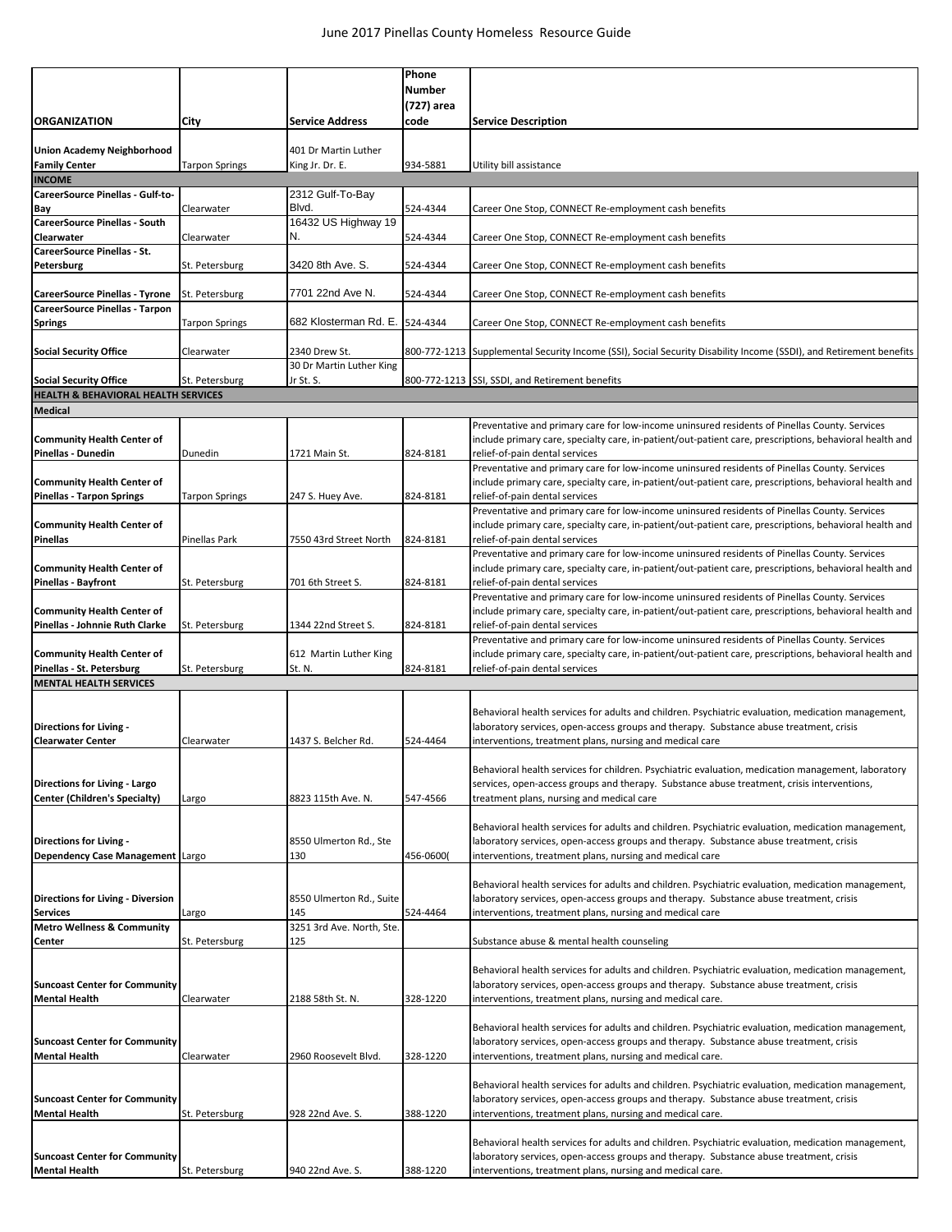|                                                                |                       |                                  | Phone         |                                                                                                                                                     |
|----------------------------------------------------------------|-----------------------|----------------------------------|---------------|-----------------------------------------------------------------------------------------------------------------------------------------------------|
|                                                                |                       |                                  | <b>Number</b> |                                                                                                                                                     |
|                                                                |                       |                                  | (727) area    |                                                                                                                                                     |
| <b>ORGANIZATION</b>                                            | City                  | <b>Service Address</b>           | code          | <b>Service Description</b>                                                                                                                          |
|                                                                |                       |                                  |               |                                                                                                                                                     |
| Union Academy Neighborhood                                     |                       | 401 Dr Martin Luther             |               |                                                                                                                                                     |
| <b>Family Center</b>                                           | <b>Tarpon Springs</b> | King Jr. Dr. E.                  | 934-5881      | Utility bill assistance                                                                                                                             |
| <b>INCOME</b>                                                  |                       |                                  |               |                                                                                                                                                     |
| CareerSource Pinellas - Gulf-to-                               |                       | 2312 Gulf-To-Bay                 |               |                                                                                                                                                     |
| Bay                                                            | Clearwater            | Blvd.                            | 524-4344      | Career One Stop, CONNECT Re-employment cash benefits                                                                                                |
| <b>CareerSource Pinellas - South</b>                           |                       | 16432 US Highway 19              |               |                                                                                                                                                     |
| Clearwater                                                     | Clearwater            | N.                               | 524-4344      | Career One Stop, CONNECT Re-employment cash benefits                                                                                                |
| <b>CareerSource Pinellas - St.</b>                             |                       |                                  |               |                                                                                                                                                     |
| Petersburg                                                     | St. Petersburg        | 3420 8th Ave. S.                 | 524-4344      | Career One Stop, CONNECT Re-employment cash benefits                                                                                                |
|                                                                |                       |                                  |               |                                                                                                                                                     |
| <b>CareerSource Pinellas - Tyrone</b>                          | St. Petersburg        | 7701 22nd Ave N.                 | 524-4344      | Career One Stop, CONNECT Re-employment cash benefits                                                                                                |
| CareerSource Pinellas - Tarpon                                 |                       |                                  |               |                                                                                                                                                     |
| <b>Springs</b>                                                 | <b>Tarpon Springs</b> | 682 Klosterman Rd. E.            | 524-4344      | Career One Stop, CONNECT Re-employment cash benefits                                                                                                |
|                                                                |                       |                                  |               |                                                                                                                                                     |
| <b>Social Security Office</b>                                  | Clearwater            | 2340 Drew St.                    |               | 800-772-1213 Supplemental Security Income (SSI), Social Security Disability Income (SSDI), and Retirement benefits                                  |
|                                                                |                       | 30 Dr Martin Luther King         |               |                                                                                                                                                     |
| <b>Social Security Office</b>                                  | St. Petersburg        | Jr St. S.                        |               | 800-772-1213 SSI, SSDI, and Retirement benefits                                                                                                     |
| <b>HEALTH &amp; BEHAVIORAL HEALTH SERVICES</b>                 |                       |                                  |               |                                                                                                                                                     |
| <b>Medical</b>                                                 |                       |                                  |               |                                                                                                                                                     |
|                                                                |                       |                                  |               | Preventative and primary care for low-income uninsured residents of Pinellas County. Services                                                       |
| <b>Community Health Center of</b>                              |                       |                                  |               | include primary care, specialty care, in-patient/out-patient care, prescriptions, behavioral health and                                             |
| Pinellas - Dunedin                                             | Dunedin               | 1721 Main St.                    | 824-8181      | relief-of-pain dental services                                                                                                                      |
|                                                                |                       |                                  |               | Preventative and primary care for low-income uninsured residents of Pinellas County. Services                                                       |
| <b>Community Health Center of</b>                              |                       |                                  |               | include primary care, specialty care, in-patient/out-patient care, prescriptions, behavioral health and                                             |
| <b>Pinellas - Tarpon Springs</b>                               | <b>Tarpon Springs</b> | 247 S. Huey Ave.                 | 824-8181      | relief-of-pain dental services                                                                                                                      |
|                                                                |                       |                                  |               | Preventative and primary care for low-income uninsured residents of Pinellas County. Services                                                       |
| <b>Community Health Center of</b>                              |                       |                                  |               | include primary care, specialty care, in-patient/out-patient care, prescriptions, behavioral health and                                             |
| Pinellas                                                       | Pinellas Park         | 7550 43rd Street North           | 824-8181      | relief-of-pain dental services                                                                                                                      |
|                                                                |                       |                                  |               | Preventative and primary care for low-income uninsured residents of Pinellas County. Services                                                       |
| <b>Community Health Center of</b>                              |                       |                                  |               | include primary care, specialty care, in-patient/out-patient care, prescriptions, behavioral health and                                             |
| <b>Pinellas - Bayfront</b>                                     | St. Petersburg        | 701 6th Street S.                | 824-8181      | relief-of-pain dental services                                                                                                                      |
|                                                                |                       |                                  |               | Preventative and primary care for low-income uninsured residents of Pinellas County. Services                                                       |
| <b>Community Health Center of</b>                              |                       |                                  |               | include primary care, specialty care, in-patient/out-patient care, prescriptions, behavioral health and                                             |
| Pinellas - Johnnie Ruth Clarke                                 | St. Petersburg        | 1344 22nd Street S.              | 824-8181      | relief-of-pain dental services                                                                                                                      |
|                                                                |                       |                                  |               | Preventative and primary care for low-income uninsured residents of Pinellas County. Services                                                       |
| <b>Community Health Center of</b><br>Pinellas - St. Petersburg | St. Petersburg        | 612 Martin Luther King<br>St. N. | 824-8181      | include primary care, specialty care, in-patient/out-patient care, prescriptions, behavioral health and<br>relief-of-pain dental services           |
| <b>MENTAL HEALTH SERVICES</b>                                  |                       |                                  |               |                                                                                                                                                     |
|                                                                |                       |                                  |               |                                                                                                                                                     |
|                                                                |                       |                                  |               | Behavioral health services for adults and children. Psychiatric evaluation, medication management,                                                  |
| Directions for Living -                                        |                       |                                  |               | laboratory services, open-access groups and therapy. Substance abuse treatment, crisis                                                              |
| <b>Clearwater Center</b>                                       | Clearwater            | 1437 S. Belcher Rd.              | 524-4464      | interventions, treatment plans, nursing and medical care                                                                                            |
|                                                                |                       |                                  |               |                                                                                                                                                     |
|                                                                |                       |                                  |               | Behavioral health services for children. Psychiatric evaluation, medication management, laboratory                                                  |
| Directions for Living - Largo                                  |                       |                                  |               | services, open-access groups and therapy. Substance abuse treatment, crisis interventions,                                                          |
| Center (Children's Specialty)                                  | Largo                 | 8823 115th Ave. N.               | 547-4566      | treatment plans, nursing and medical care                                                                                                           |
|                                                                |                       |                                  |               |                                                                                                                                                     |
|                                                                |                       |                                  |               | Behavioral health services for adults and children. Psychiatric evaluation, medication management,                                                  |
| Directions for Living -                                        |                       | 8550 Ulmerton Rd., Ste           |               | laboratory services, open-access groups and therapy. Substance abuse treatment, crisis                                                              |
| Dependency Case Management   Largo                             |                       | 130                              | 456-0600(     | interventions, treatment plans, nursing and medical care                                                                                            |
|                                                                |                       |                                  |               |                                                                                                                                                     |
|                                                                |                       |                                  |               | Behavioral health services for adults and children. Psychiatric evaluation, medication management,                                                  |
| <b>Directions for Living - Diversion</b>                       |                       | 8550 Ulmerton Rd., Suite         |               | laboratory services, open-access groups and therapy. Substance abuse treatment, crisis                                                              |
| <b>Services</b>                                                | Largo                 | 145                              | 524-4464      | interventions, treatment plans, nursing and medical care                                                                                            |
| <b>Metro Wellness &amp; Community</b>                          |                       | 3251 3rd Ave. North, Ste.        |               |                                                                                                                                                     |
| Center                                                         | St. Petersburg        | 125                              |               | Substance abuse & mental health counseling                                                                                                          |
|                                                                |                       |                                  |               |                                                                                                                                                     |
|                                                                |                       |                                  |               | Behavioral health services for adults and children. Psychiatric evaluation, medication management,                                                  |
| <b>Suncoast Center for Community</b>                           |                       |                                  |               | laboratory services, open-access groups and therapy. Substance abuse treatment, crisis                                                              |
| <b>Mental Health</b>                                           | Clearwater            | 2188 58th St. N.                 | 328-1220      | interventions, treatment plans, nursing and medical care.                                                                                           |
|                                                                |                       |                                  |               |                                                                                                                                                     |
|                                                                |                       |                                  |               | Behavioral health services for adults and children. Psychiatric evaluation, medication management,                                                  |
| <b>Suncoast Center for Community</b><br><b>Mental Health</b>   | Clearwater            | 2960 Roosevelt Blvd.             | 328-1220      | laboratory services, open-access groups and therapy. Substance abuse treatment, crisis<br>interventions, treatment plans, nursing and medical care. |
|                                                                |                       |                                  |               |                                                                                                                                                     |
|                                                                |                       |                                  |               | Behavioral health services for adults and children. Psychiatric evaluation, medication management,                                                  |
| <b>Suncoast Center for Community</b>                           |                       |                                  |               | laboratory services, open-access groups and therapy. Substance abuse treatment, crisis                                                              |
| <b>Mental Health</b>                                           | St. Petersburg        | 928 22nd Ave. S.                 | 388-1220      | interventions, treatment plans, nursing and medical care.                                                                                           |
|                                                                |                       |                                  |               |                                                                                                                                                     |
|                                                                |                       |                                  |               | Behavioral health services for adults and children. Psychiatric evaluation, medication management,                                                  |
| <b>Suncoast Center for Community</b>                           |                       |                                  |               | laboratory services, open-access groups and therapy. Substance abuse treatment, crisis                                                              |
| <b>Mental Health</b>                                           | St. Petersburg        | 940 22nd Ave. S.                 | 388-1220      | interventions, treatment plans, nursing and medical care.                                                                                           |